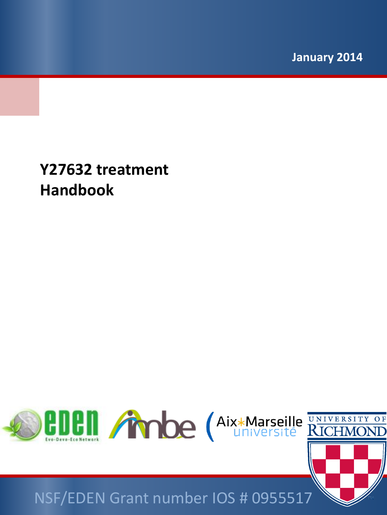**January 2014**

**Y27632 treatment Handbook** 



## NSF/EDEN Grant number IOS # 0955517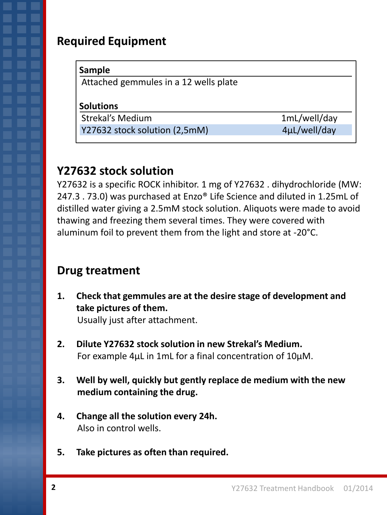## **Required Equipment**

| Attached gemmules in a 12 wells plate |              |
|---------------------------------------|--------------|
|                                       |              |
| <b>Solutions</b>                      |              |
| <b>Strekal's Medium</b>               | 1mL/well/day |

## **Y27632 stock solution**

Y27632 is a specific ROCK inhibitor. 1 mg of Y27632 . dihydrochloride (MW: 247.3 . 73.0) was purchased at Enzo® Life Science and diluted in 1.25mL of distilled water giving a 2.5mM stock solution. Aliquots were made to avoid thawing and freezing them several times. They were covered with aluminum foil to prevent them from the light and store at -20°C.

## **Drug treatment**

**1. Check that gemmules are at the desire stage of development and take pictures of them.** 

Usually just after attachment.

- **2. Dilute Y27632 stock solution in new Strekal's Medium.** For example 4µL in 1mL for a final concentration of 10µM.
- **3. Well by well, quickly but gently replace de medium with the new medium containing the drug.**
- **4. Change all the solution every 24h.** Also in control wells.
- **5. Take pictures as often than required.**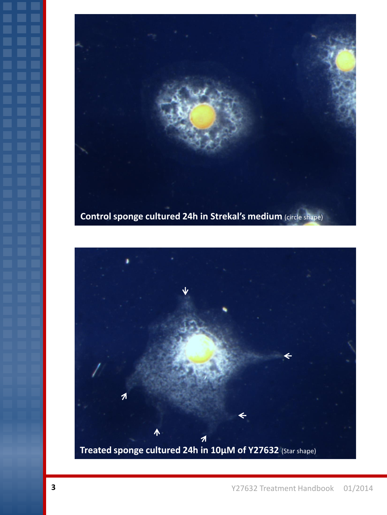

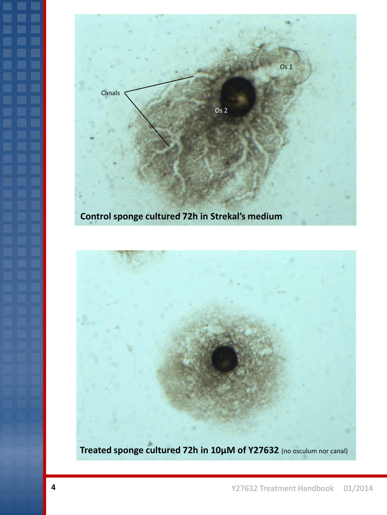